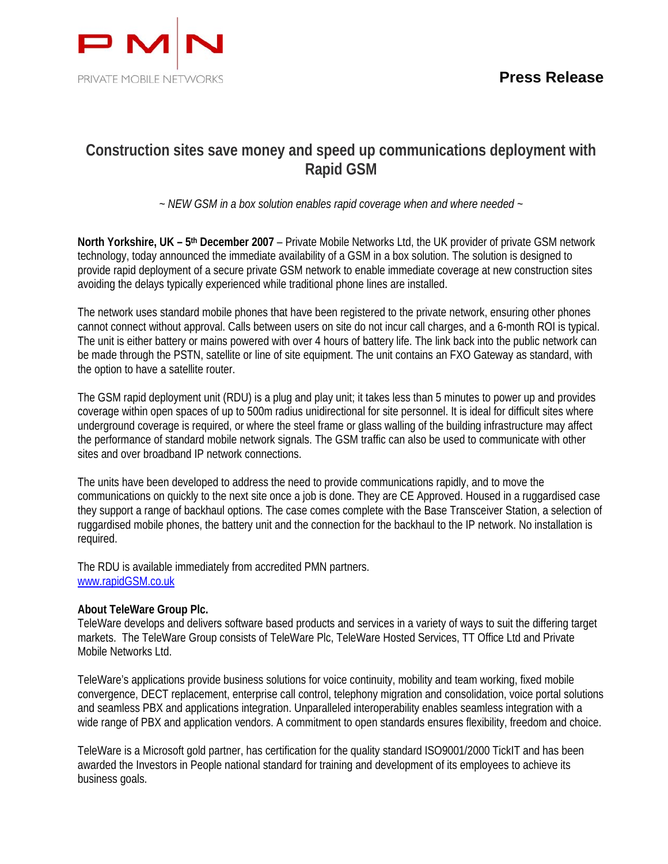

# **Construction sites save money and speed up communications deployment with Rapid GSM**

*~ NEW GSM in a box solution enables rapid coverage when and where needed ~* 

**North Yorkshire, UK – 5th December 2007** – Private Mobile Networks Ltd, the UK provider of private GSM network technology, today announced the immediate availability of a GSM in a box solution. The solution is designed to provide rapid deployment of a secure private GSM network to enable immediate coverage at new construction sites avoiding the delays typically experienced while traditional phone lines are installed.

The network uses standard mobile phones that have been registered to the private network, ensuring other phones cannot connect without approval. Calls between users on site do not incur call charges, and a 6-month ROI is typical. The unit is either battery or mains powered with over 4 hours of battery life. The link back into the public network can be made through the PSTN, satellite or line of site equipment. The unit contains an FXO Gateway as standard, with the option to have a satellite router.

The GSM rapid deployment unit (RDU) is a plug and play unit; it takes less than 5 minutes to power up and provides coverage within open spaces of up to 500m radius unidirectional for site personnel. It is ideal for difficult sites where underground coverage is required, or where the steel frame or glass walling of the building infrastructure may affect the performance of standard mobile network signals. The GSM traffic can also be used to communicate with other sites and over broadband IP network connections.

The units have been developed to address the need to provide communications rapidly, and to move the communications on quickly to the next site once a job is done. They are CE Approved. Housed in a ruggardised case they support a range of backhaul options. The case comes complete with the Base Transceiver Station, a selection of ruggardised mobile phones, the battery unit and the connection for the backhaul to the IP network. No installation is required.

The RDU is available immediately from accredited PMN partners. www.rapidGSM.co.uk

## **About TeleWare Group Plc.**

TeleWare develops and delivers software based products and services in a variety of ways to suit the differing target markets. The TeleWare Group consists of TeleWare Plc, TeleWare Hosted Services, TT Office Ltd and Private Mobile Networks Ltd.

TeleWare's applications provide business solutions for voice continuity, mobility and team working, fixed mobile convergence, DECT replacement, enterprise call control, telephony migration and consolidation, voice portal solutions and seamless PBX and applications integration. Unparalleled interoperability enables seamless integration with a wide range of PBX and application vendors. A commitment to open standards ensures flexibility, freedom and choice.

TeleWare is a Microsoft gold partner, has certification for the quality standard ISO9001/2000 TickIT and has been awarded the Investors in People national standard for training and development of its employees to achieve its business goals.